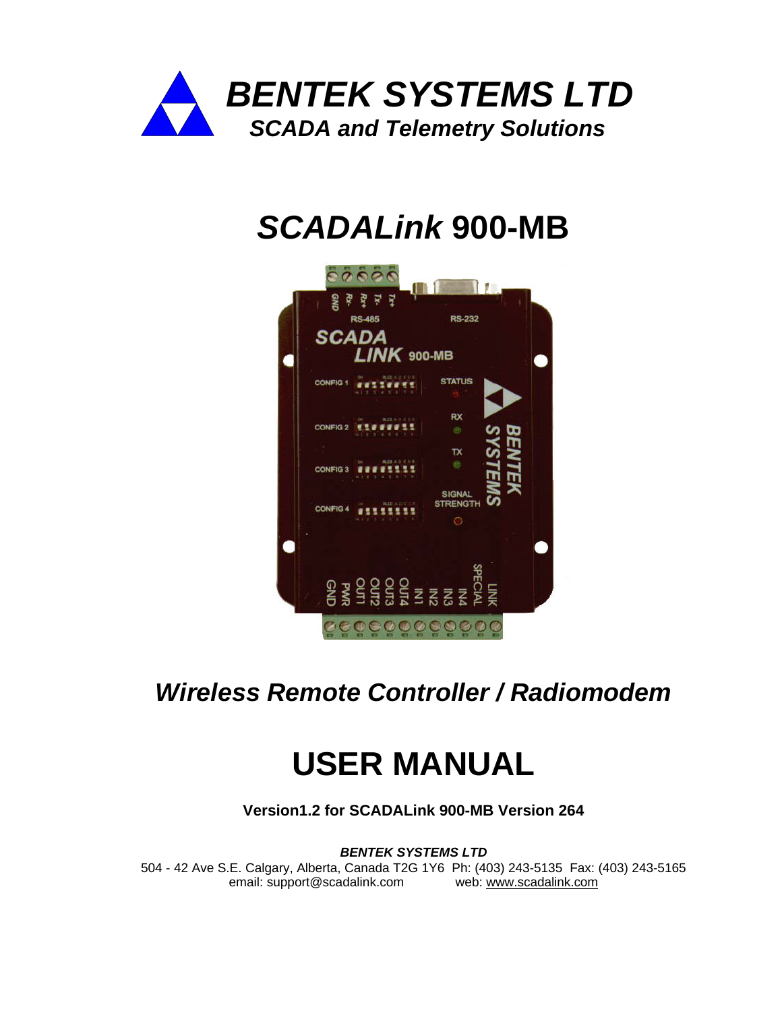

# *SCADALink* **900-MB**



# *Wireless Remote Controller / Radiomodem*

# **USER MANUAL**

**Version1.2 for SCADALink 900-MB Version 264**

*BENTEK SYSTEMS LTD*

504 - 42 Ave S.E. Calgary, Alberta, Canada T2G 1Y6 Ph: (403) 243-5135 Fax: (403) 243-5165 email: support@scadalink.com web: www.scadalink.com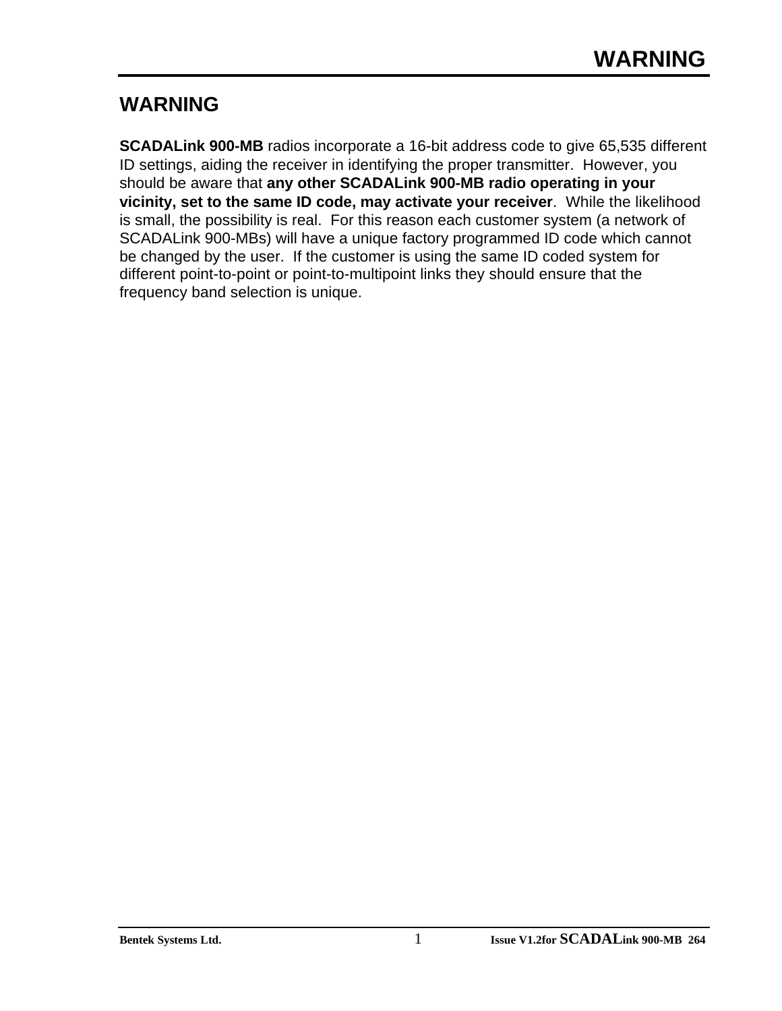# **WARNING**

**SCADALink 900-MB** radios incorporate a 16-bit address code to give 65,535 different ID settings, aiding the receiver in identifying the proper transmitter. However, you should be aware that **any other SCADALink 900-MB radio operating in your vicinity, set to the same ID code, may activate your receiver**. While the likelihood is small, the possibility is real. For this reason each customer system (a network of SCADALink 900-MBs) will have a unique factory programmed ID code which cannot be changed by the user. If the customer is using the same ID coded system for different point-to-point or point-to-multipoint links they should ensure that the frequency band selection is unique.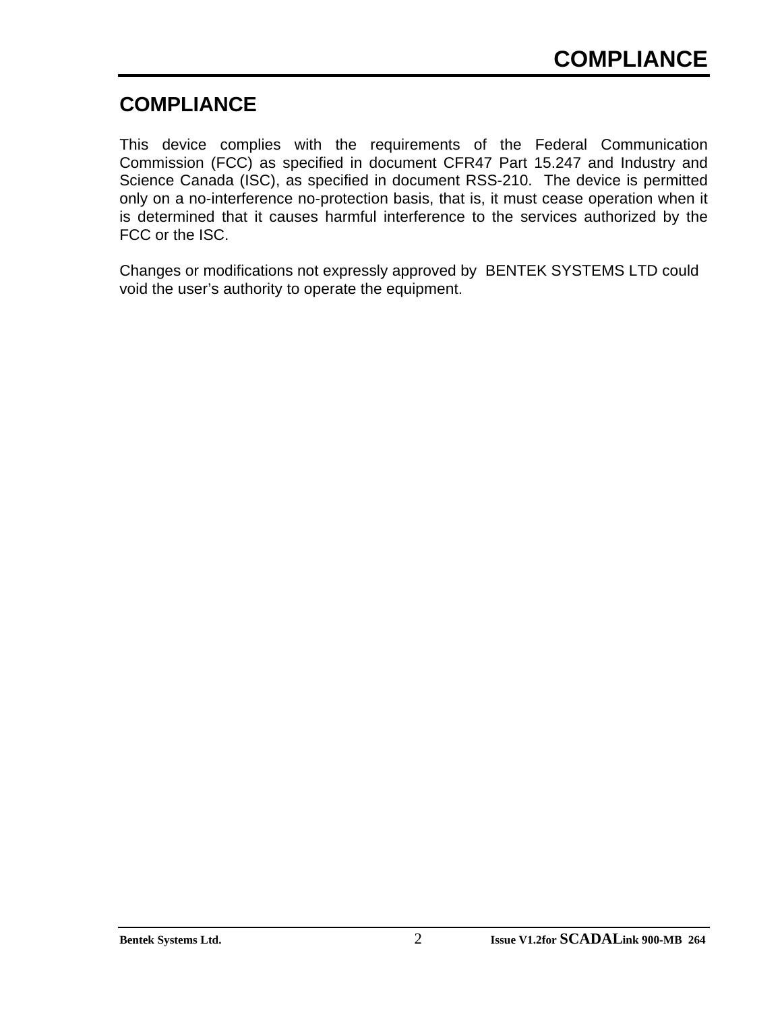# **COMPLIANCE**

This device complies with the requirements of the Federal Communication Commission (FCC) as specified in document CFR47 Part 15.247 and Industry and Science Canada (ISC), as specified in document RSS-210. The device is permitted only on a no-interference no-protection basis, that is, it must cease operation when it is determined that it causes harmful interference to the services authorized by the FCC or the ISC.

Changes or modifications not expressly approved by BENTEK SYSTEMS LTD could void the user's authority to operate the equipment.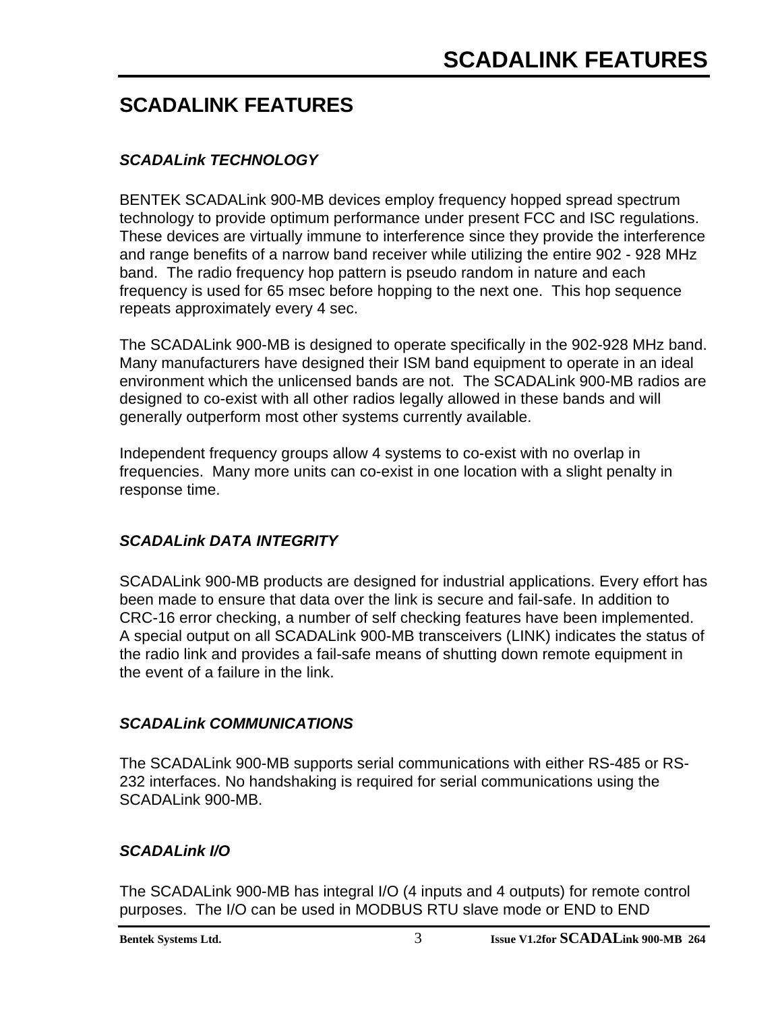# **SCADALINK FEATURES**

# *SCADALink TECHNOLOGY*

BENTEK SCADALink 900-MB devices employ frequency hopped spread spectrum technology to provide optimum performance under present FCC and ISC regulations. These devices are virtually immune to interference since they provide the interference and range benefits of a narrow band receiver while utilizing the entire 902 - 928 MHz band. The radio frequency hop pattern is pseudo random in nature and each frequency is used for 65 msec before hopping to the next one. This hop sequence repeats approximately every 4 sec.

The SCADALink 900-MB is designed to operate specifically in the 902-928 MHz band. Many manufacturers have designed their ISM band equipment to operate in an ideal environment which the unlicensed bands are not. The SCADALink 900-MB radios are designed to co-exist with all other radios legally allowed in these bands and will generally outperform most other systems currently available.

Independent frequency groups allow 4 systems to co-exist with no overlap in frequencies. Many more units can co-exist in one location with a slight penalty in response time.

## *SCADALink DATA INTEGRITY*

SCADALink 900-MB products are designed for industrial applications. Every effort has been made to ensure that data over the link is secure and fail-safe. In addition to CRC-16 error checking, a number of self checking features have been implemented. A special output on all SCADALink 900-MB transceivers (LINK) indicates the status of the radio link and provides a fail-safe means of shutting down remote equipment in the event of a failure in the link.

### *SCADALink COMMUNICATIONS*

The SCADALink 900-MB supports serial communications with either RS-485 or RS-232 interfaces. No handshaking is required for serial communications using the SCADALink 900-MB.

### *SCADALink I/O*

The SCADALink 900-MB has integral I/O (4 inputs and 4 outputs) for remote control purposes. The I/O can be used in MODBUS RTU slave mode or END to END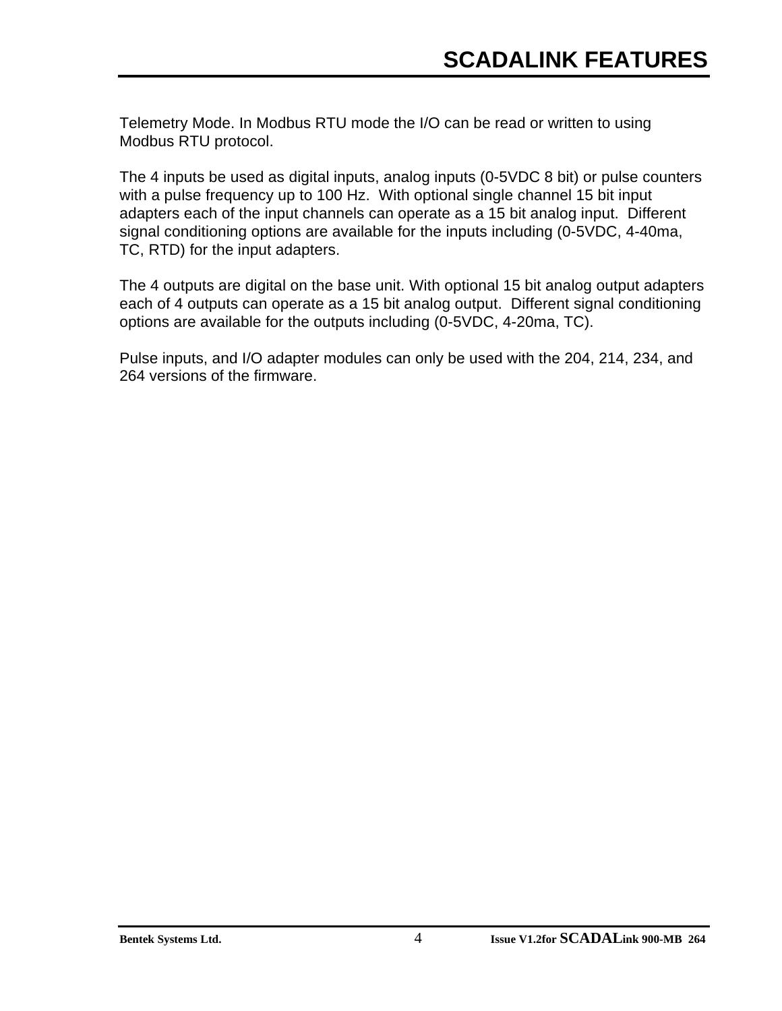Telemetry Mode. In Modbus RTU mode the I/O can be read or written to using Modbus RTU protocol.

The 4 inputs be used as digital inputs, analog inputs (0-5VDC 8 bit) or pulse counters with a pulse frequency up to 100 Hz. With optional single channel 15 bit input adapters each of the input channels can operate as a 15 bit analog input. Different signal conditioning options are available for the inputs including (0-5VDC, 4-40ma, TC, RTD) for the input adapters.

The 4 outputs are digital on the base unit. With optional 15 bit analog output adapters each of 4 outputs can operate as a 15 bit analog output. Different signal conditioning options are available for the outputs including (0-5VDC, 4-20ma, TC).

Pulse inputs, and I/O adapter modules can only be used with the 204, 214, 234, and 264 versions of the firmware.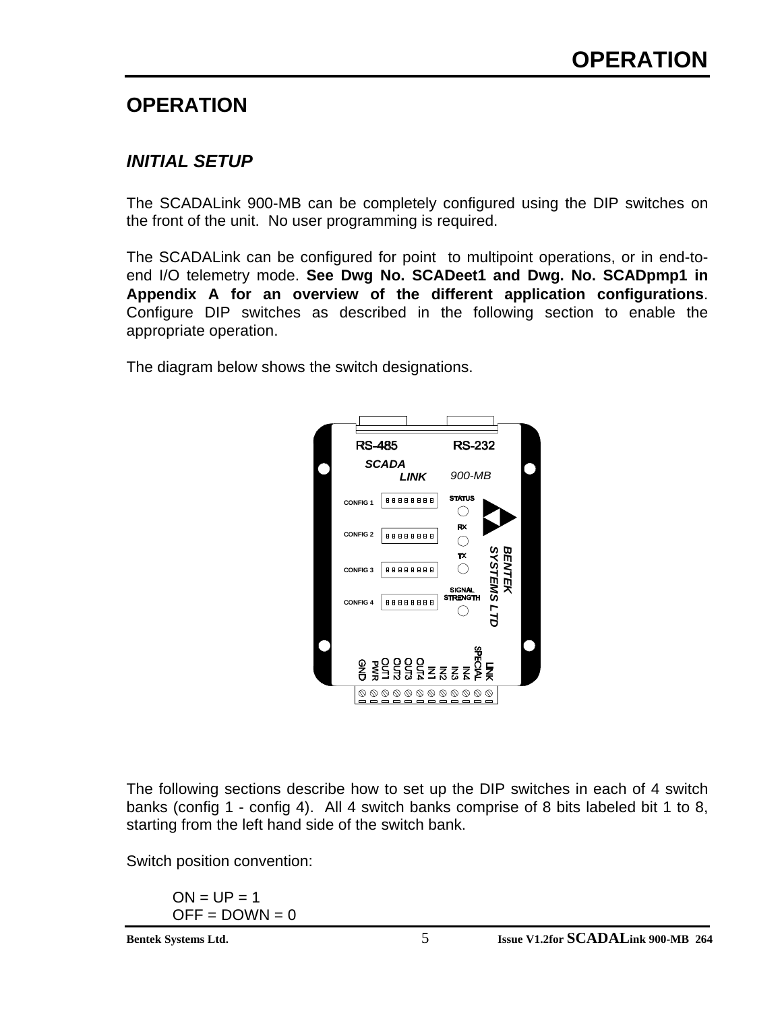# **OPERATION**

# *INITIAL SETUP*

The SCADALink 900-MB can be completely configured using the DIP switches on the front of the unit. No user programming is required.

The SCADALink can be configured for point to multipoint operations, or in end-toend I/O telemetry mode. **See Dwg No. SCADeet1 and Dwg. No. SCADpmp1 in Appendix A for an overview of the different application configurations**. Configure DIP switches as described in the following section to enable the appropriate operation.

The diagram below shows the switch designations.



The following sections describe how to set up the DIP switches in each of 4 switch banks (config 1 - config 4). All 4 switch banks comprise of 8 bits labeled bit 1 to 8, starting from the left hand side of the switch bank.

Switch position convention:

 $ON = UP = 1$  $OFF = DOWN = 0$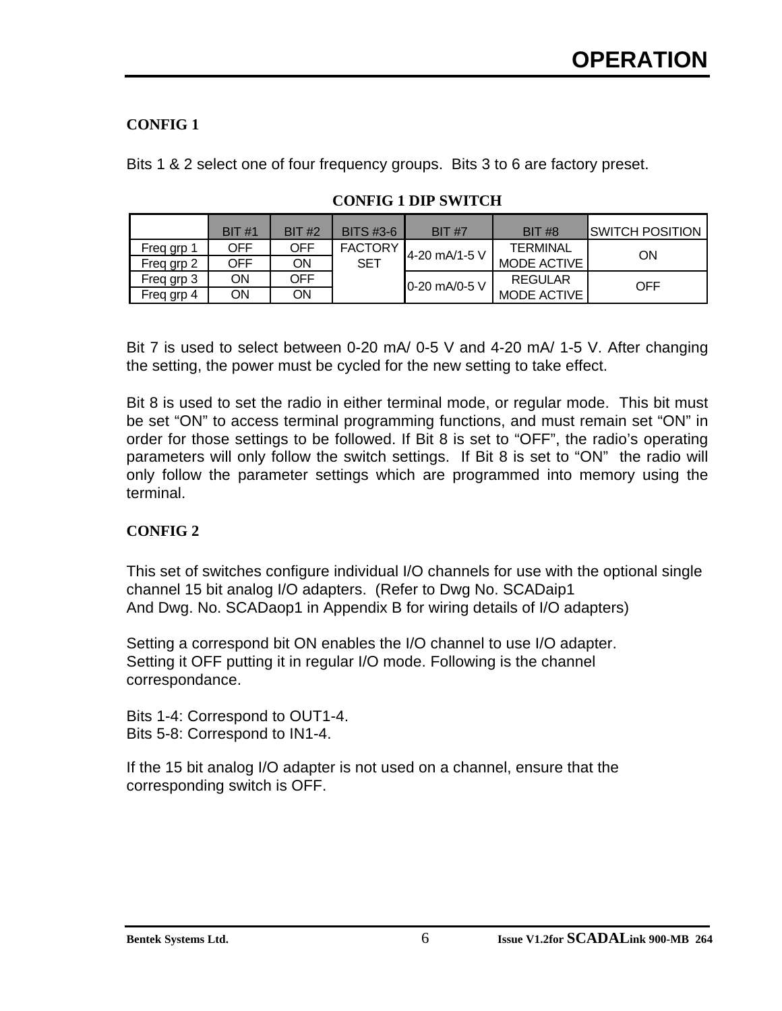### **CONFIG 1**

Bits 1 & 2 select one of four frequency groups. Bits 3 to 6 are factory preset.

|            | BIT#1 | <b>BIT #2</b> | <b>BITS #3-6</b> | <b>BIT #7</b> | <b>BIT #8</b>   | ISWITCH POSITION |
|------------|-------|---------------|------------------|---------------|-----------------|------------------|
| Freq grp 1 | OFF   | OFF           | <b>FACTORY</b>   | 4-20 mA/1-5 V | <b>TERMINAL</b> | ON               |
| Freq grp 2 | OFF   | OΝ            | SET              |               | MODE ACTIVE     |                  |
| Freq grp 3 | ΟN    | <b>OFF</b>    |                  | 0-20 mA/0-5 V | <b>REGULAR</b>  | <b>OFF</b>       |
| Freq grp 4 | ΟN    | ON            |                  |               | MODE ACTIVE     |                  |

### **CONFIG 1 DIP SWITCH**

Bit 7 is used to select between 0-20 mA/ 0-5 V and 4-20 mA/ 1-5 V. After changing the setting, the power must be cycled for the new setting to take effect.

Bit 8 is used to set the radio in either terminal mode, or regular mode. This bit must be set "ON" to access terminal programming functions, and must remain set "ON" in order for those settings to be followed. If Bit 8 is set to "OFF", the radio's operating parameters will only follow the switch settings. If Bit 8 is set to "ON" the radio will only follow the parameter settings which are programmed into memory using the terminal.

### **CONFIG 2**

This set of switches configure individual I/O channels for use with the optional single channel 15 bit analog I/O adapters. (Refer to Dwg No. SCADaip1 And Dwg. No. SCADaop1 in Appendix B for wiring details of I/O adapters)

Setting a correspond bit ON enables the I/O channel to use I/O adapter. Setting it OFF putting it in regular I/O mode. Following is the channel correspondance.

Bits 1-4: Correspond to OUT1-4. Bits 5-8: Correspond to IN1-4.

If the 15 bit analog I/O adapter is not used on a channel, ensure that the corresponding switch is OFF.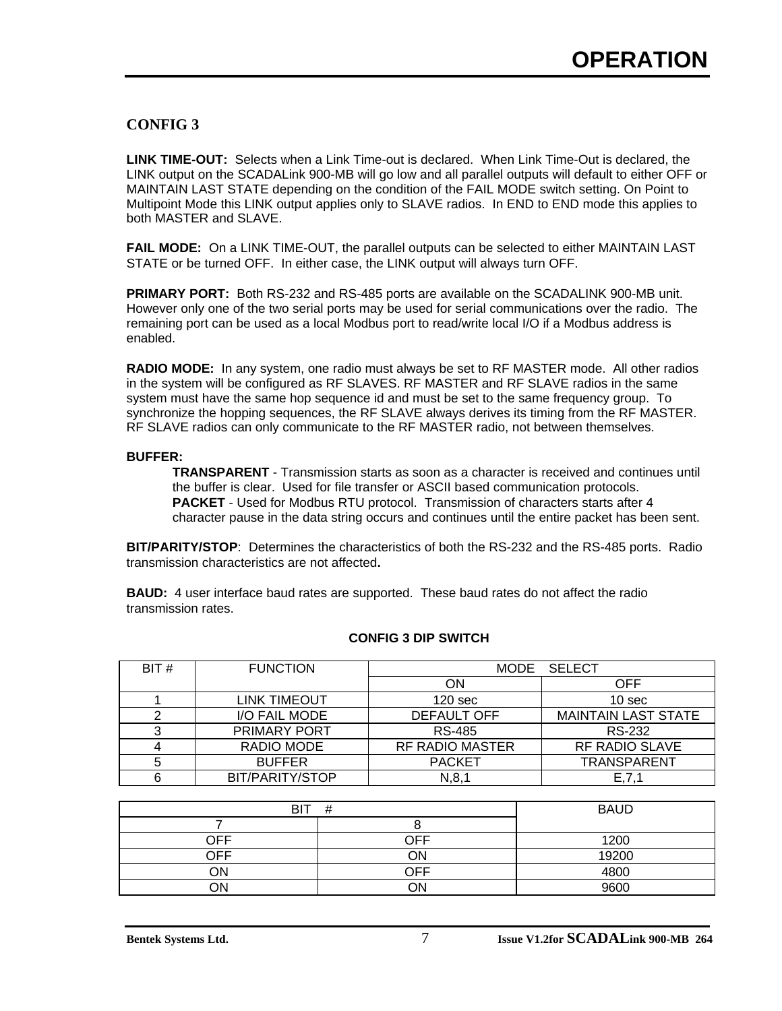#### **CONFIG 3**

**LINK TIME-OUT:** Selects when a Link Time-out is declared. When Link Time-Out is declared, the LINK output on the SCADALink 900-MB will go low and all parallel outputs will default to either OFF or MAINTAIN LAST STATE depending on the condition of the FAIL MODE switch setting. On Point to Multipoint Mode this LINK output applies only to SLAVE radios. In END to END mode this applies to both MASTER and SLAVE.

**FAIL MODE:** On a LINK TIME-OUT, the parallel outputs can be selected to either MAINTAIN LAST STATE or be turned OFF. In either case, the LINK output will always turn OFF.

**PRIMARY PORT:** Both RS-232 and RS-485 ports are available on the SCADALINK 900-MB unit. However only one of the two serial ports may be used for serial communications over the radio. The remaining port can be used as a local Modbus port to read/write local I/O if a Modbus address is enabled.

**RADIO MODE:** In any system, one radio must always be set to RF MASTER mode. All other radios in the system will be configured as RF SLAVES. RF MASTER and RF SLAVE radios in the same system must have the same hop sequence id and must be set to the same frequency group. To synchronize the hopping sequences, the RF SLAVE always derives its timing from the RF MASTER. RF SLAVE radios can only communicate to the RF MASTER radio, not between themselves.

#### **BUFFER:**

**TRANSPARENT** - Transmission starts as soon as a character is received and continues until the buffer is clear. Used for file transfer or ASCII based communication protocols. **PACKET** - Used for Modbus RTU protocol. Transmission of characters starts after 4 character pause in the data string occurs and continues until the entire packet has been sent.

**BIT/PARITY/STOP**:Determines the characteristics of both the RS-232 and the RS-485 ports. Radio transmission characteristics are not affected**.**

**BAUD:** 4 user interface baud rates are supported. These baud rates do not affect the radio transmission rates.

| BIT# | <b>FUNCTION</b>     |                        | MODE SELECT                |
|------|---------------------|------------------------|----------------------------|
|      |                     | ΟN                     | OFF                        |
|      | <b>LINK TIMEOUT</b> | 120 <sub>sec</sub>     | 10 <sub>sec</sub>          |
|      | I/O FAIL MODE       | <b>DEFAULT OFF</b>     | <b>MAINTAIN LAST STATE</b> |
|      | PRIMARY PORT        | RS-485                 | RS-232                     |
|      | RADIO MODE          | <b>RF RADIO MASTER</b> | <b>RF RADIO SLAVE</b>      |
| 5    | <b>BUFFER</b>       | <b>PACKET</b>          | <b>TRANSPARENT</b>         |
| 6    | BIT/PARITY/STOP     | N, 8, 1                | E, 7, 1                    |

#### **CONFIG 3 DIP SWITCH**

| <b>BIT</b> | #   | <b>BAUD</b> |
|------------|-----|-------------|
|            |     |             |
| ЭFF        | OFF | 1200        |
| つFF        | ЭN  | 19200       |
| ΟN         | OFF | 4800        |
| ON         | NΩ  | 9600        |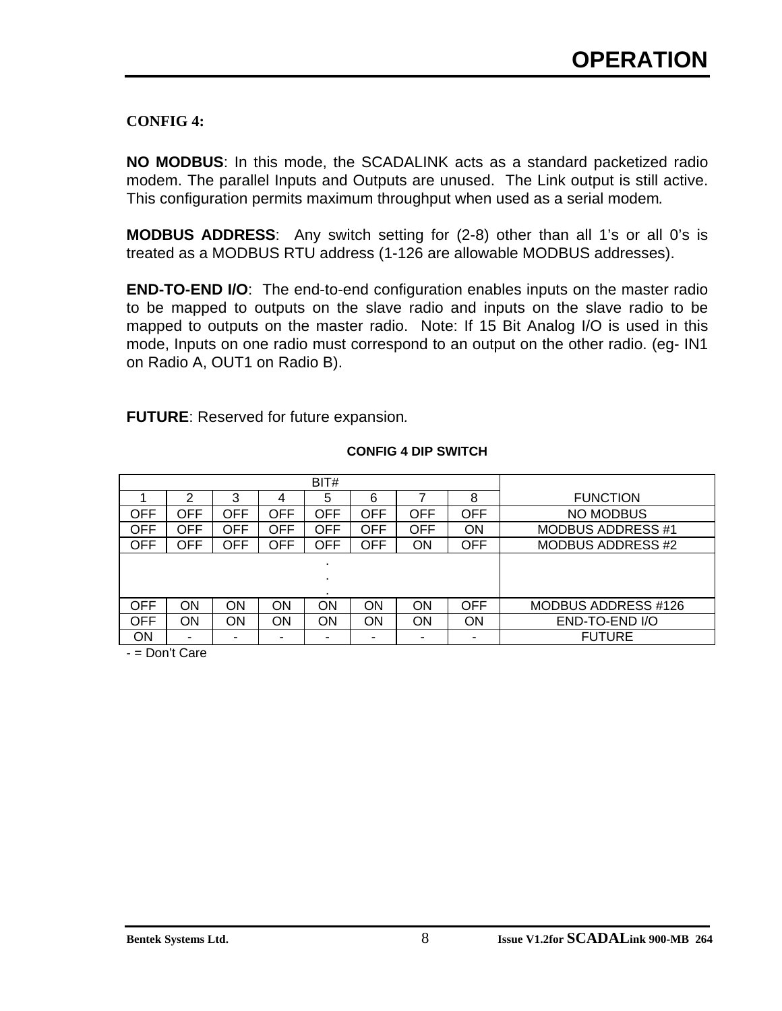### **CONFIG 4:**

**NO MODBUS**: In this mode, the SCADALINK acts as a standard packetized radio modem. The parallel Inputs and Outputs are unused. The Link output is still active. This configuration permits maximum throughput when used as a serial modem*.*

**MODBUS ADDRESS**: Any switch setting for (2-8) other than all 1's or all 0's is treated as a MODBUS RTU address (1-126 are allowable MODBUS addresses).

**END-TO-END I/O**: The end-to-end configuration enables inputs on the master radio to be mapped to outputs on the slave radio and inputs on the slave radio to be mapped to outputs on the master radio. Note: If 15 Bit Analog I/O is used in this mode, Inputs on one radio must correspond to an output on the other radio. (eg- IN1 on Radio A, OUT1 on Radio B).

**FUTURE**: Reserved for future expansion*.*

|           |     |            |            | BIT#                     |            |            |            |                          |
|-----------|-----|------------|------------|--------------------------|------------|------------|------------|--------------------------|
|           | າ   | 3          | 4          | 5                        | 6          |            | 8          | <b>FUNCTION</b>          |
| OFF       | OFF | OFF        | <b>OFF</b> | <b>OFF</b>               | <b>OFF</b> | <b>OFF</b> | <b>OFF</b> | NO MODBUS                |
| OFF       | OFF | <b>OFF</b> | <b>OFF</b> | <b>OFF</b>               | <b>OFF</b> | <b>OFF</b> | ON         | <b>MODBUS ADDRESS #1</b> |
| OFF       | OFF | OFF        | <b>OFF</b> | <b>OFF</b>               | <b>OFF</b> | ON         | <b>OFF</b> | <b>MODBUS ADDRESS #2</b> |
|           |     |            |            | $\overline{\phantom{a}}$ |            |            |            |                          |
|           |     |            |            |                          |            |            |            |                          |
|           |     |            |            |                          |            |            |            |                          |
| OFF       | ΟN  | ΟN         | ΟN         | ON                       | ON         | ON         | <b>OFF</b> | MODBUS ADDRESS #126      |
| OFF       | ON  | ΟN         | ΟN         | ON                       | ON         | ON         | ON         | END-TO-END I/O           |
| <b>ON</b> |     | -          |            |                          |            | -          | -          | <b>FUTURE</b>            |

#### **CONFIG 4 DIP SWITCH**

- = Don't Care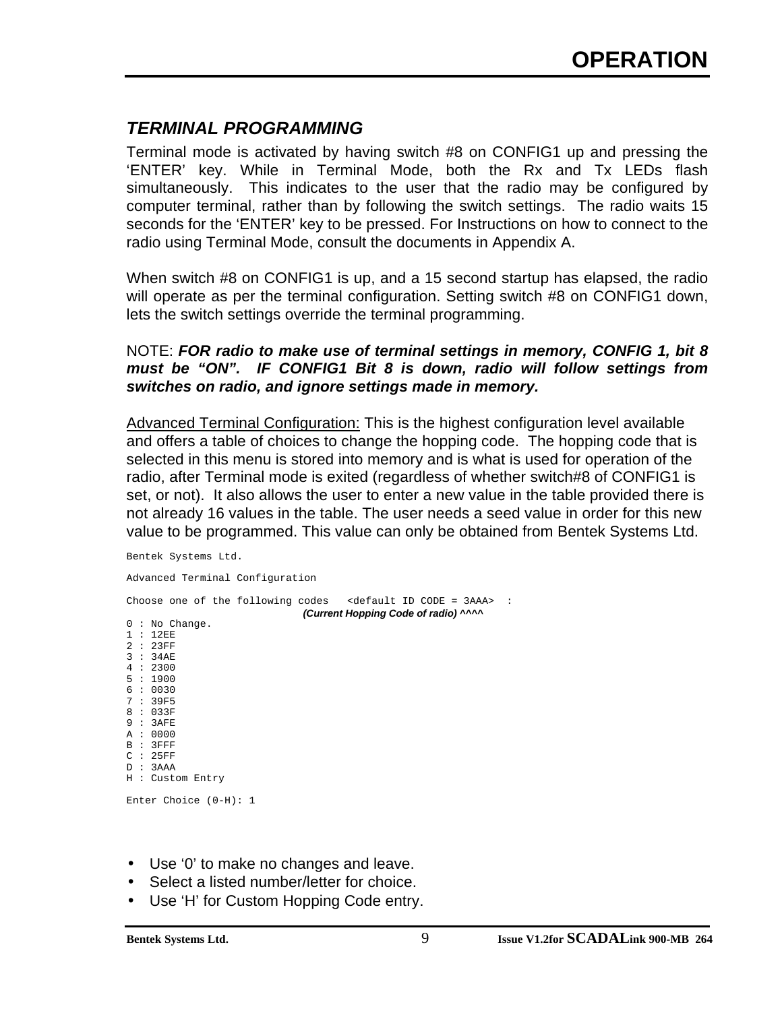# *TERMINAL PROGRAMMING*

Terminal mode is activated by having switch #8 on CONFIG1 up and pressing the 'ENTER' key. While in Terminal Mode, both the Rx and Tx LEDs flash simultaneously. This indicates to the user that the radio may be configured by computer terminal, rather than by following the switch settings. The radio waits 15 seconds for the 'ENTER' key to be pressed. For Instructions on how to connect to the radio using Terminal Mode, consult the documents in Appendix A.

When switch #8 on CONFIG1 is up, and a 15 second startup has elapsed, the radio will operate as per the terminal configuration. Setting switch #8 on CONFIG1 down, lets the switch settings override the terminal programming.

#### NOTE: *FOR radio to make use of terminal settings in memory, CONFIG 1, bit 8 must be "ON". IF CONFIG1 Bit 8 is down, radio will follow settings from switches on radio, and ignore settings made in memory.*

Advanced Terminal Configuration: This is the highest configuration level available and offers a table of choices to change the hopping code. The hopping code that is selected in this menu is stored into memory and is what is used for operation of the radio, after Terminal mode is exited (regardless of whether switch#8 of CONFIG1 is set, or not). It also allows the user to enter a new value in the table provided there is not already 16 values in the table. The user needs a seed value in order for this new value to be programmed. This value can only be obtained from Bentek Systems Ltd.

|        | Bentek Systems Ltd.       |  |  |                                                                                  |  |                                      |  |  |
|--------|---------------------------|--|--|----------------------------------------------------------------------------------|--|--------------------------------------|--|--|
|        |                           |  |  | Advanced Terminal Configuration                                                  |  |                                      |  |  |
|        |                           |  |  | Choose one of the following codes $\leq$ <default code="3AAA" id=""> :</default> |  | (Current Hopping Code of radio) ^^^^ |  |  |
|        | $0:$ No Change.<br>1:12EE |  |  |                                                                                  |  |                                      |  |  |
|        | 2 : 23FF                  |  |  |                                                                                  |  |                                      |  |  |
|        | 3 : 34AE                  |  |  |                                                                                  |  |                                      |  |  |
|        | 4:2300                    |  |  |                                                                                  |  |                                      |  |  |
|        | 5:1900                    |  |  |                                                                                  |  |                                      |  |  |
|        | 6:0030                    |  |  |                                                                                  |  |                                      |  |  |
|        | 7 : 39F5                  |  |  |                                                                                  |  |                                      |  |  |
|        | 8:033F                    |  |  |                                                                                  |  |                                      |  |  |
|        | 9:3AFE                    |  |  |                                                                                  |  |                                      |  |  |
|        | A : 0000                  |  |  |                                                                                  |  |                                      |  |  |
|        | B : 3FFF                  |  |  |                                                                                  |  |                                      |  |  |
| C:25FF |                           |  |  |                                                                                  |  |                                      |  |  |
|        | D : 3AAA                  |  |  |                                                                                  |  |                                      |  |  |
|        | H : Custom Entry          |  |  |                                                                                  |  |                                      |  |  |
|        | Enter Choice $(0-H): 1$   |  |  |                                                                                  |  |                                      |  |  |

- Use '0' to make no changes and leave.
- Select a listed number/letter for choice.
- Use 'H' for Custom Hopping Code entry.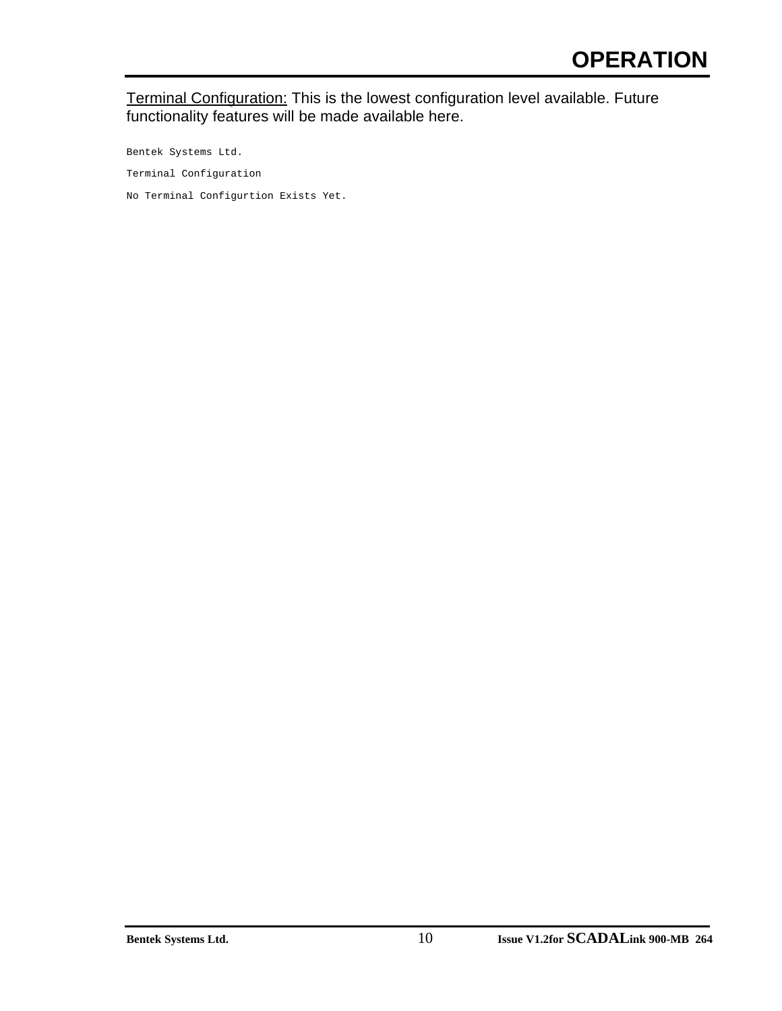#### Terminal Configuration: This is the lowest configuration level available. Future functionality features will be made available here.

Bentek Systems Ltd. Terminal Configuration No Terminal Configurtion Exists Yet.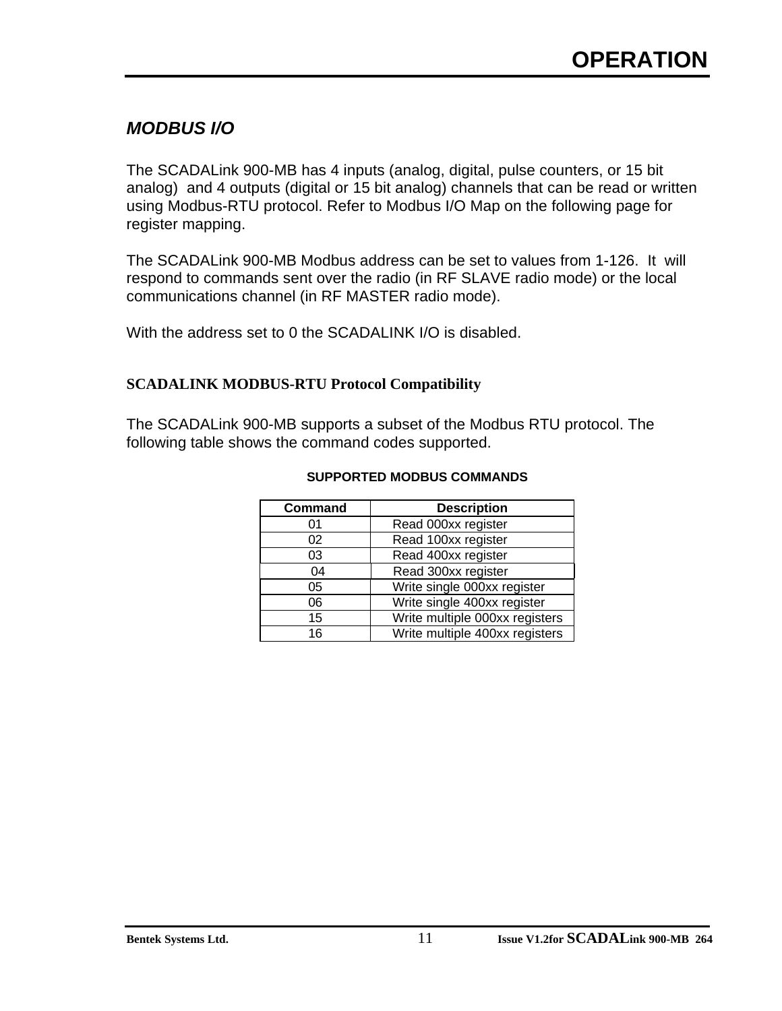# *MODBUS I/O*

The SCADALink 900-MB has 4 inputs (analog, digital, pulse counters, or 15 bit analog) and 4 outputs (digital or 15 bit analog) channels that can be read or written using Modbus-RTU protocol. Refer to Modbus I/O Map on the following page for register mapping.

The SCADALink 900-MB Modbus address can be set to values from 1-126. It will respond to commands sent over the radio (in RF SLAVE radio mode) or the local communications channel (in RF MASTER radio mode).

With the address set to 0 the SCADALINK I/O is disabled.

#### **SCADALINK MODBUS-RTU Protocol Compatibility**

The SCADALink 900-MB supports a subset of the Modbus RTU protocol. The following table shows the command codes supported.

| <b>Command</b> | <b>Description</b>             |
|----------------|--------------------------------|
| 01             | Read 000xx register            |
| 02             | Read 100xx register            |
| 03             | Read 400xx register            |
| 04             | Read 300xx register            |
| 05             | Write single 000xx register    |
| 06             | Write single 400xx register    |
| 15             | Write multiple 000xx registers |
| 16             | Write multiple 400xx registers |

#### **SUPPORTED MODBUS COMMANDS**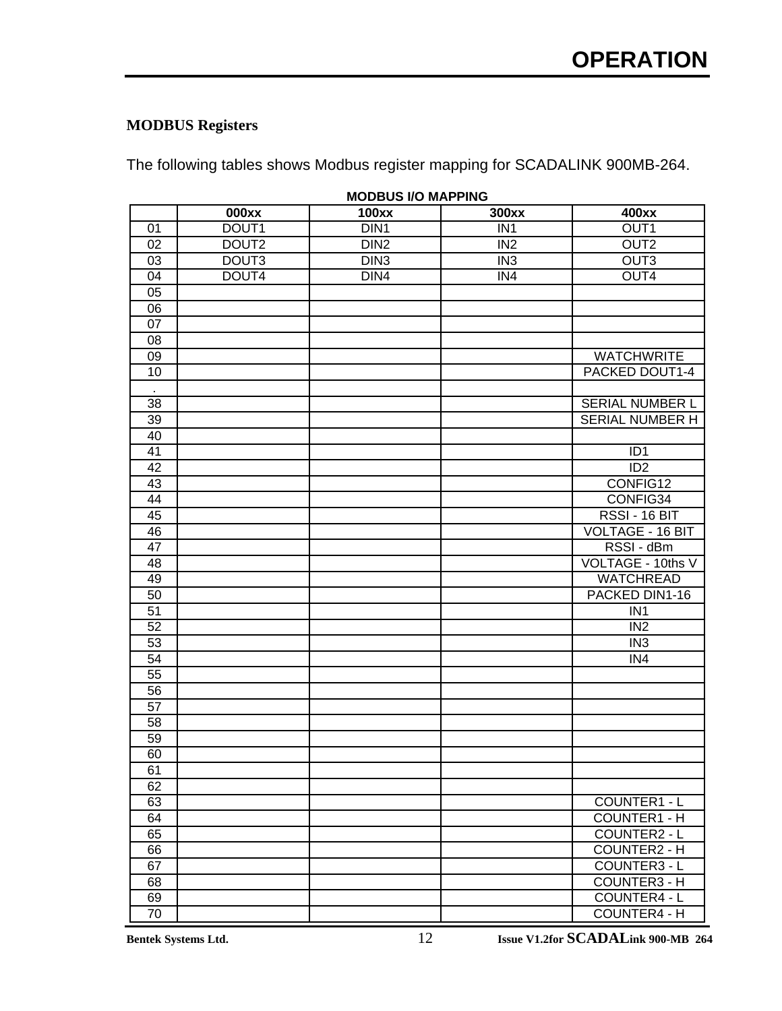### **MODBUS Registers**

The following tables shows Modbus register mapping for SCADALINK 900MB-264.

|                 | <b>MODBUS I/O MAPPING</b> |                  |                 |                         |  |  |  |  |
|-----------------|---------------------------|------------------|-----------------|-------------------------|--|--|--|--|
|                 | 000xx                     | <b>100xx</b>     | 300xx           | 400xx                   |  |  |  |  |
| 01              | DOUT1                     | DIN <sub>1</sub> | IN <sub>1</sub> | OUT <sub>1</sub>        |  |  |  |  |
| 02              | DOUT2                     | DIN <sub>2</sub> | IN <sub>2</sub> | OUT <sub>2</sub>        |  |  |  |  |
| 03              | DOUT3                     | DIN <sub>3</sub> | IN <sub>3</sub> | OUT3                    |  |  |  |  |
| 04              | DOUT4                     | DIN4             | IN4             | OUT4                    |  |  |  |  |
| 05              |                           |                  |                 |                         |  |  |  |  |
| 06              |                           |                  |                 |                         |  |  |  |  |
| 07              |                           |                  |                 |                         |  |  |  |  |
| 08              |                           |                  |                 |                         |  |  |  |  |
| 09              |                           |                  |                 | <b>WATCHWRITE</b>       |  |  |  |  |
| 10              |                           |                  |                 | PACKED DOUT1-4          |  |  |  |  |
|                 |                           |                  |                 |                         |  |  |  |  |
| 38              |                           |                  |                 | SERIAL NUMBER L         |  |  |  |  |
| 39              |                           |                  |                 | SERIAL NUMBER H         |  |  |  |  |
| 40              |                           |                  |                 |                         |  |  |  |  |
| 41              |                           |                  |                 | ID <sub>1</sub>         |  |  |  |  |
| $\overline{42}$ |                           |                  |                 | ID2                     |  |  |  |  |
| 43              |                           |                  |                 | CONFIG12                |  |  |  |  |
| 44              |                           |                  |                 | CONFIG34                |  |  |  |  |
| 45              |                           |                  |                 | RSSI - 16 BIT           |  |  |  |  |
| 46              |                           |                  |                 | <b>VOLTAGE - 16 BIT</b> |  |  |  |  |
| 47              |                           |                  |                 | RSSI - dBm              |  |  |  |  |
| 48              |                           |                  |                 | VOLTAGE - 10ths V       |  |  |  |  |
| 49              |                           |                  |                 | <b>WATCHREAD</b>        |  |  |  |  |
| 50              |                           |                  |                 | PACKED DIN1-16          |  |  |  |  |
| 51              |                           |                  |                 | IN <sub>1</sub>         |  |  |  |  |
| 52              |                           |                  |                 | IN <sub>2</sub>         |  |  |  |  |
| 53              |                           |                  |                 | IN <sub>3</sub>         |  |  |  |  |
| 54              |                           |                  |                 | IN4                     |  |  |  |  |
| 55              |                           |                  |                 |                         |  |  |  |  |
| 56              |                           |                  |                 |                         |  |  |  |  |
| 57              |                           |                  |                 |                         |  |  |  |  |
| 58              |                           |                  |                 |                         |  |  |  |  |
| 59              |                           |                  |                 |                         |  |  |  |  |
| 60              |                           |                  |                 |                         |  |  |  |  |
| 61              |                           |                  |                 |                         |  |  |  |  |
| 62              |                           |                  |                 |                         |  |  |  |  |
| 63              |                           |                  |                 | COUNTER1 - L            |  |  |  |  |
| 64              |                           |                  |                 | <b>COUNTER1 - H</b>     |  |  |  |  |
| 65              |                           |                  |                 | COUNTER2 - L            |  |  |  |  |
| 66              |                           |                  |                 | <b>COUNTER2 - H</b>     |  |  |  |  |
| 67              |                           |                  |                 | COUNTER3 - L            |  |  |  |  |
| 68              |                           |                  |                 | <b>COUNTER3 - H</b>     |  |  |  |  |
| 69              |                           |                  |                 | <b>COUNTER4 - L</b>     |  |  |  |  |
| 70              |                           |                  |                 | <b>COUNTER4 - H</b>     |  |  |  |  |

**MODBUS I/O MAPPING**

**Bentek Systems Ltd.** 12 **Issue V1.2for SCADALink 900-MB 264**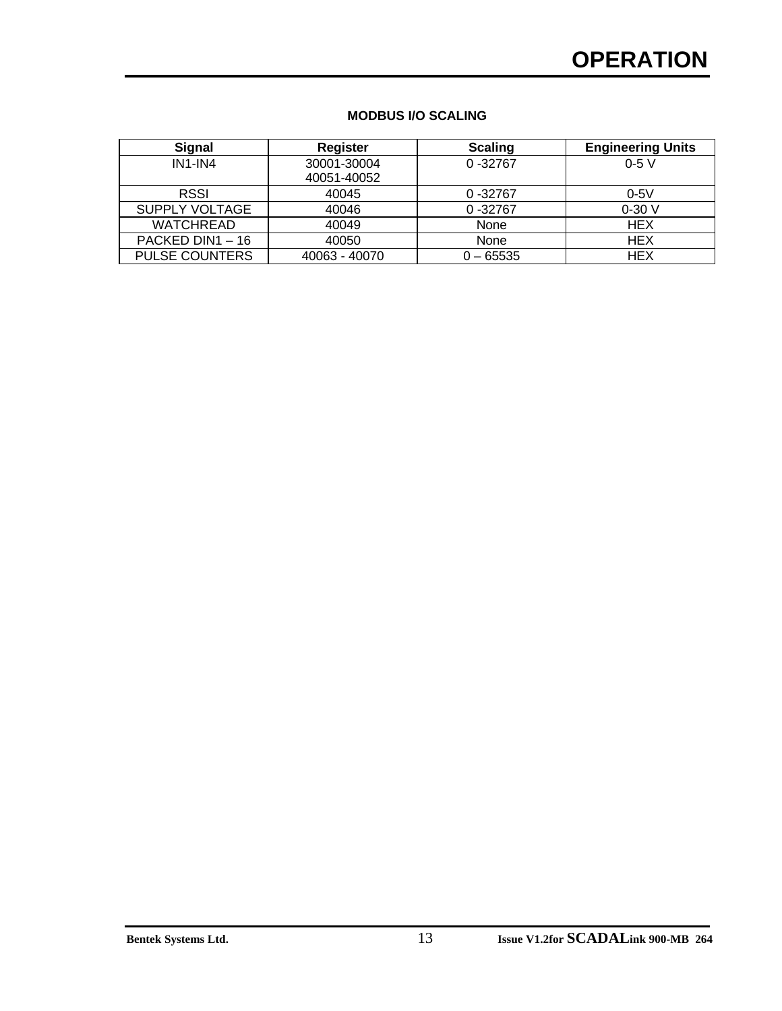# **OPERATION**

| <b>MODBUS I/O SCALING</b> |  |  |
|---------------------------|--|--|
|---------------------------|--|--|

| <b>Signal</b>         | <b>Register</b> | <b>Scaling</b> | <b>Engineering Units</b> |
|-----------------------|-----------------|----------------|--------------------------|
| $IN1$ - $IN4$         | 30001-30004     | $0 - 32767$    | $0-5V$                   |
|                       | 40051-40052     |                |                          |
| <b>RSSI</b>           | 40045           | $0 - 32767$    | $0-5V$                   |
| SUPPLY VOLTAGE        | 40046           | $0 - 32767$    | $0-30V$                  |
| <b>WATCHREAD</b>      | 40049           | None           | <b>HEX</b>               |
| PACKED DIN1 - 16      | 40050           | None           | <b>HEX</b>               |
| <b>PULSE COUNTERS</b> | 40063 - 40070   | $0 - 65535$    | <b>HEX</b>               |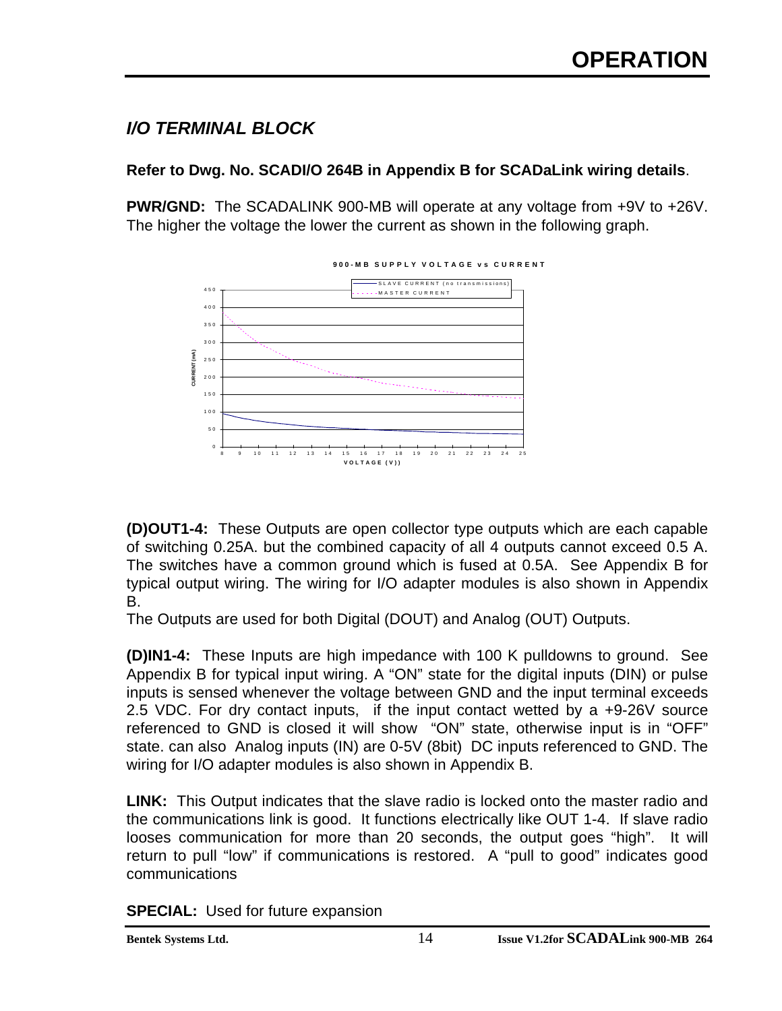# *I/O TERMINAL BLOCK*

### **Refer to Dwg. No. SCADI/O 264B in Appendix B for SCADaLink wiring details**.

**PWR/GND:** The SCADALINK 900-MB will operate at any voltage from +9V to +26V. The higher the voltage the lower the current as shown in the following graph.



**(D)OUT1-4:** These Outputs are open collector type outputs which are each capable of switching 0.25A. but the combined capacity of all 4 outputs cannot exceed 0.5 A. The switches have a common ground which is fused at 0.5A. See Appendix B for typical output wiring. The wiring for I/O adapter modules is also shown in Appendix B.

The Outputs are used for both Digital (DOUT) and Analog (OUT) Outputs.

**(D)IN1-4:** These Inputs are high impedance with 100 K pulldowns to ground. See Appendix B for typical input wiring. A "ON" state for the digital inputs (DIN) or pulse inputs is sensed whenever the voltage between GND and the input terminal exceeds 2.5 VDC. For dry contact inputs, if the input contact wetted by a +9-26V source referenced to GND is closed it will show "ON" state, otherwise input is in "OFF" state. can also Analog inputs (IN) are 0-5V (8bit) DC inputs referenced to GND. The wiring for I/O adapter modules is also shown in Appendix B.

**LINK:** This Output indicates that the slave radio is locked onto the master radio and the communications link is good. It functions electrically like OUT 1-4. If slave radio looses communication for more than 20 seconds, the output goes "high". It will return to pull "low" if communications is restored. A "pull to good" indicates good communications

**SPECIAL:** Used for future expansion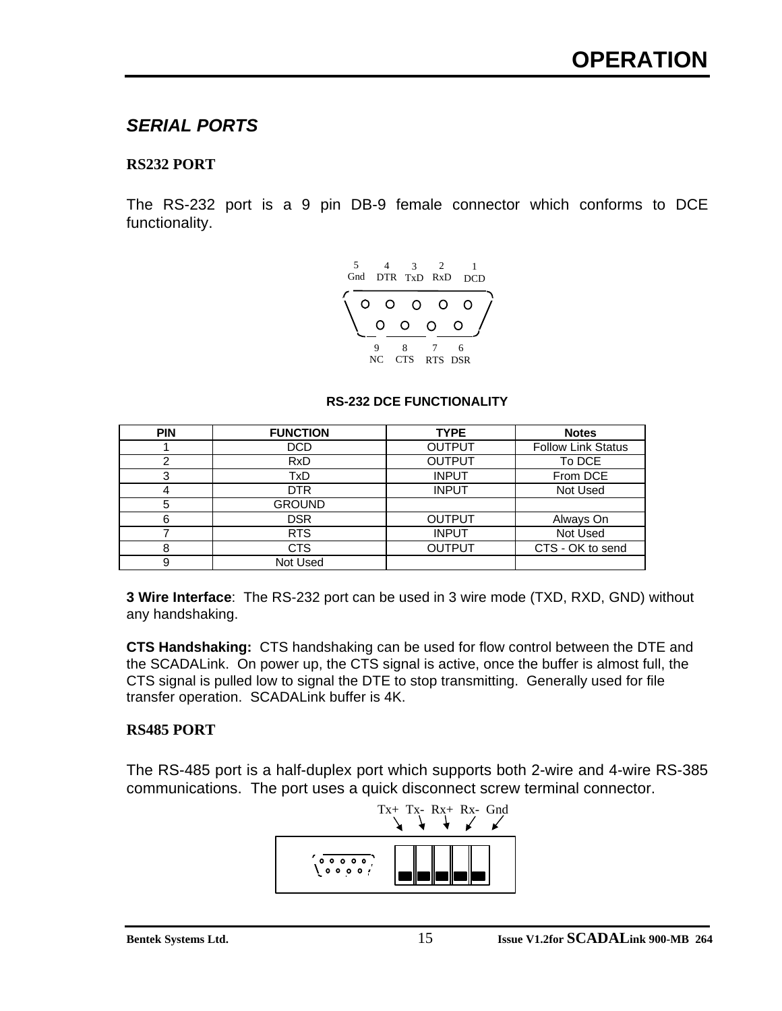# *SERIAL PORTS*

### **RS232 PORT**

The RS-232 port is a 9 pin DB-9 female connector which conforms to DCE functionality.



#### **RS-232 DCE FUNCTIONALITY**

| <b>PIN</b> | <b>FUNCTION</b> | <b>TYPE</b>   | <b>Notes</b>              |
|------------|-----------------|---------------|---------------------------|
|            | <b>DCD</b>      | <b>OUTPUT</b> | <b>Follow Link Status</b> |
| 2          | <b>RxD</b>      | <b>OUTPUT</b> | To DCE                    |
| 3          | TxD             | <b>INPUT</b>  | From DCE                  |
| 4          | <b>DTR</b>      | <b>INPUT</b>  | Not Used                  |
| 5          | <b>GROUND</b>   |               |                           |
| 6          | <b>DSR</b>      | <b>OUTPUT</b> | Always On                 |
|            | <b>RTS</b>      | <b>INPUT</b>  | Not Used                  |
| 8          | <b>CTS</b>      | <b>OUTPUT</b> | CTS - OK to send          |
| 9          | Not Used        |               |                           |

**3 Wire Interface**: The RS-232 port can be used in 3 wire mode (TXD, RXD, GND) without any handshaking.

**CTS Handshaking:** CTS handshaking can be used for flow control between the DTE and the SCADALink. On power up, the CTS signal is active, once the buffer is almost full, the CTS signal is pulled low to signal the DTE to stop transmitting. Generally used for file transfer operation. SCADALink buffer is 4K.

#### **RS485 PORT**

The RS-485 port is a half-duplex port which supports both 2-wire and 4-wire RS-385 communications. The port uses a quick disconnect screw terminal connector.

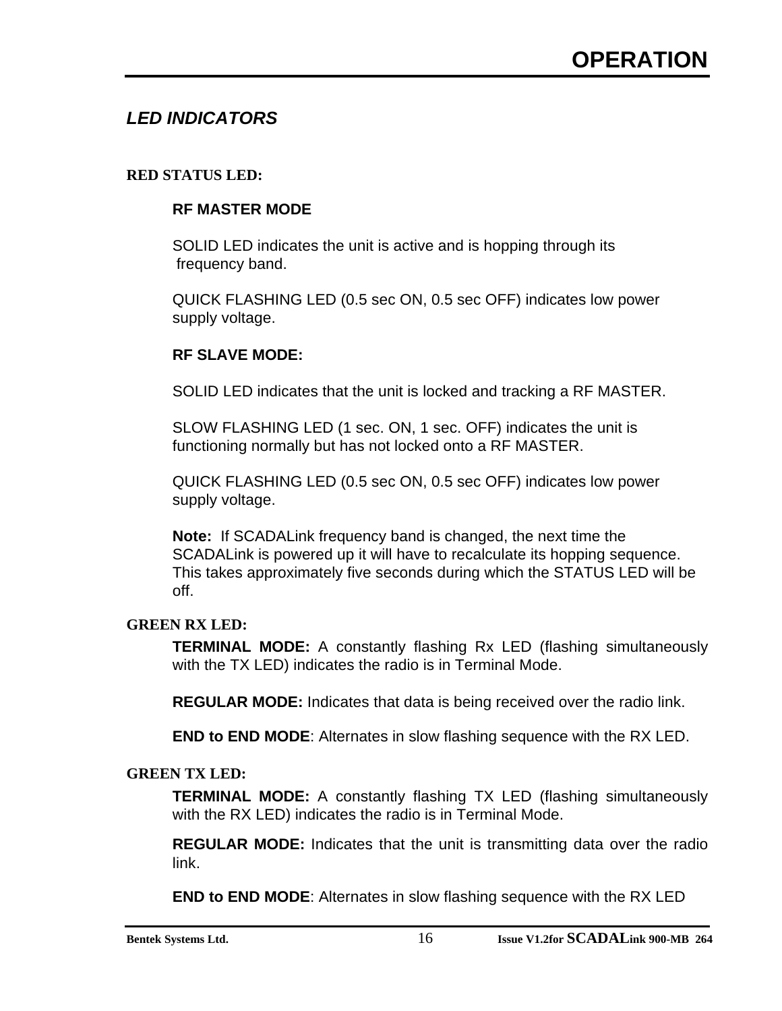# *LED INDICATORS*

### **RED STATUS LED:**

#### **RF MASTER MODE**

SOLID LED indicates the unit is active and is hopping through its frequency band.

QUICK FLASHING LED (0.5 sec ON, 0.5 sec OFF) indicates low power supply voltage.

#### **RF SLAVE MODE:**

SOLID LED indicates that the unit is locked and tracking a RF MASTER.

SLOW FLASHING LED (1 sec. ON, 1 sec. OFF) indicates the unit is functioning normally but has not locked onto a RF MASTER.

QUICK FLASHING LED (0.5 sec ON, 0.5 sec OFF) indicates low power supply voltage.

**Note:** If SCADALink frequency band is changed, the next time the SCADALink is powered up it will have to recalculate its hopping sequence. This takes approximately five seconds during which the STATUS LED will be off.

#### **GREEN RX LED:**

**TERMINAL MODE:** A constantly flashing Rx LED (flashing simultaneously with the TX LED) indicates the radio is in Terminal Mode.

**REGULAR MODE:** Indicates that data is being received over the radio link.

**END to END MODE**: Alternates in slow flashing sequence with the RX LED.

#### **GREEN TX LED:**

**TERMINAL MODE:** A constantly flashing TX LED (flashing simultaneously with the RX LED) indicates the radio is in Terminal Mode.

**REGULAR MODE:** Indicates that the unit is transmitting data over the radio link.

**END to END MODE**: Alternates in slow flashing sequence with the RX LED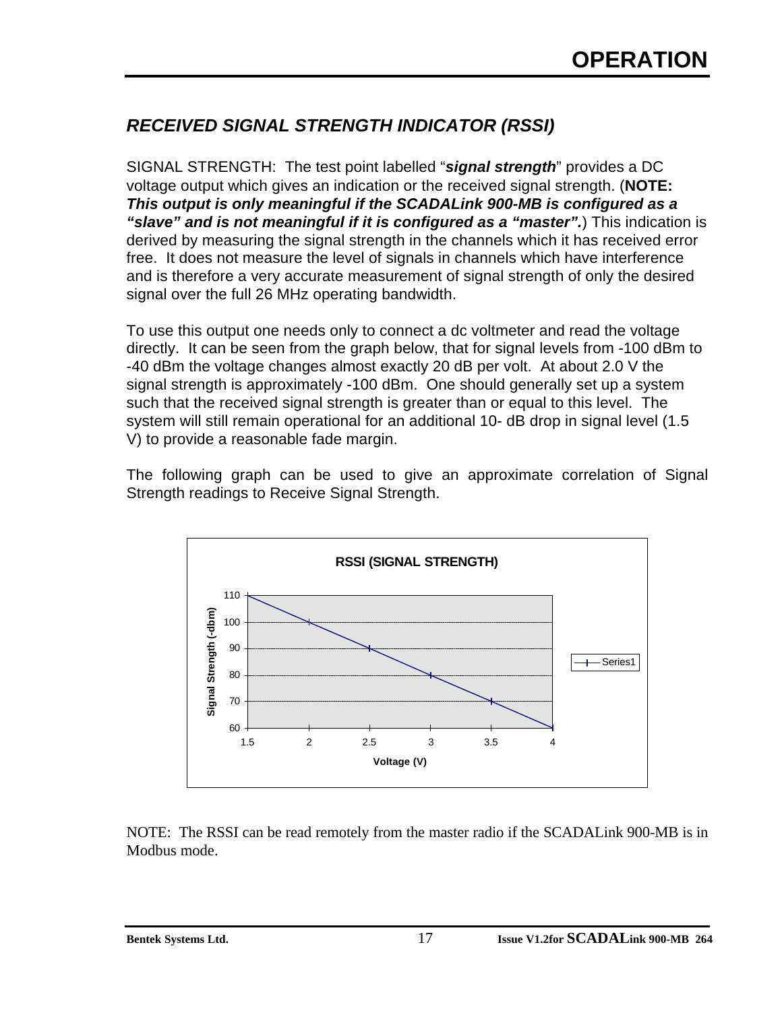# *RECEIVED SIGNAL STRENGTH INDICATOR (RSSI)*

SIGNAL STRENGTH: The test point labelled "*signal strength*" provides a DC voltage output which gives an indication or the received signal strength. (**NOTE:** *This output is only meaningful if the SCADALink 900-MB is configured as a "slave" and is not meaningful if it is configured as a "master".*) This indication is derived by measuring the signal strength in the channels which it has received error free. It does not measure the level of signals in channels which have interference and is therefore a very accurate measurement of signal strength of only the desired signal over the full 26 MHz operating bandwidth.

To use this output one needs only to connect a dc voltmeter and read the voltage directly. It can be seen from the graph below, that for signal levels from -100 dBm to -40 dBm the voltage changes almost exactly 20 dB per volt. At about 2.0 V the signal strength is approximately -100 dBm. One should generally set up a system such that the received signal strength is greater than or equal to this level. The system will still remain operational for an additional 10- dB drop in signal level (1.5 V) to provide a reasonable fade margin.

The following graph can be used to give an approximate correlation of Signal Strength readings to Receive Signal Strength.



NOTE: The RSSI can be read remotely from the master radio if the SCADALink 900-MB is in Modbus mode.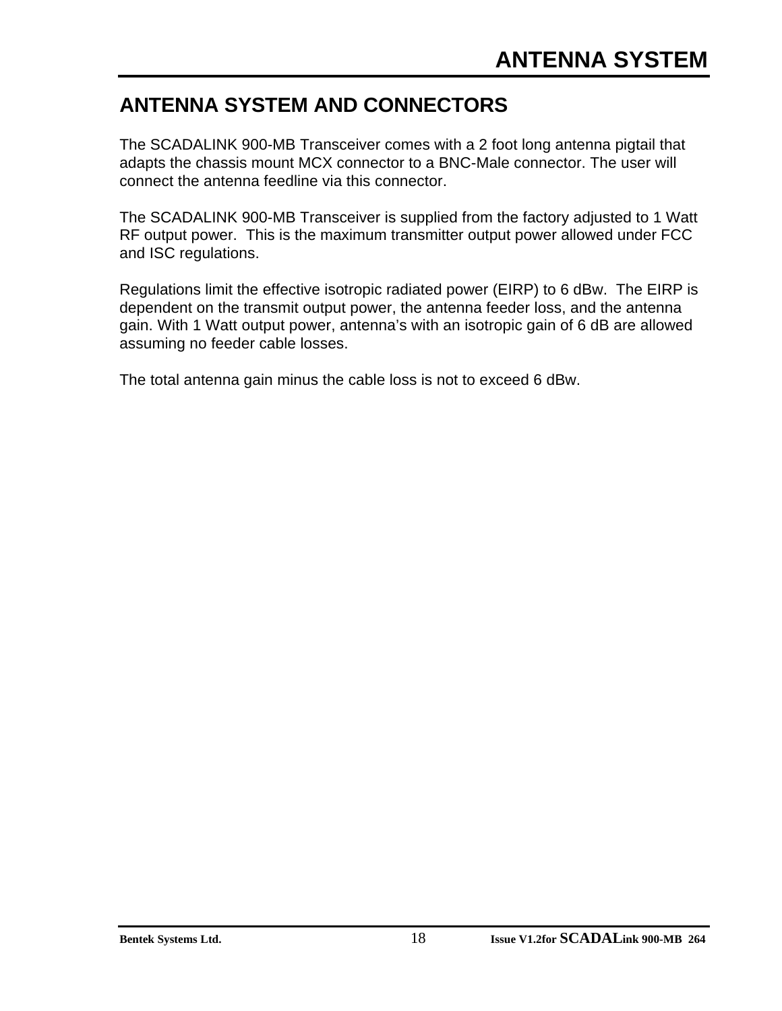# **ANTENNA SYSTEM AND CONNECTORS**

The SCADALINK 900-MB Transceiver comes with a 2 foot long antenna pigtail that adapts the chassis mount MCX connector to a BNC-Male connector. The user will connect the antenna feedline via this connector.

The SCADALINK 900-MB Transceiver is supplied from the factory adjusted to 1 Watt RF output power. This is the maximum transmitter output power allowed under FCC and ISC regulations.

Regulations limit the effective isotropic radiated power (EIRP) to 6 dBw. The EIRP is dependent on the transmit output power, the antenna feeder loss, and the antenna gain. With 1 Watt output power, antenna's with an isotropic gain of 6 dB are allowed assuming no feeder cable losses.

The total antenna gain minus the cable loss is not to exceed 6 dBw.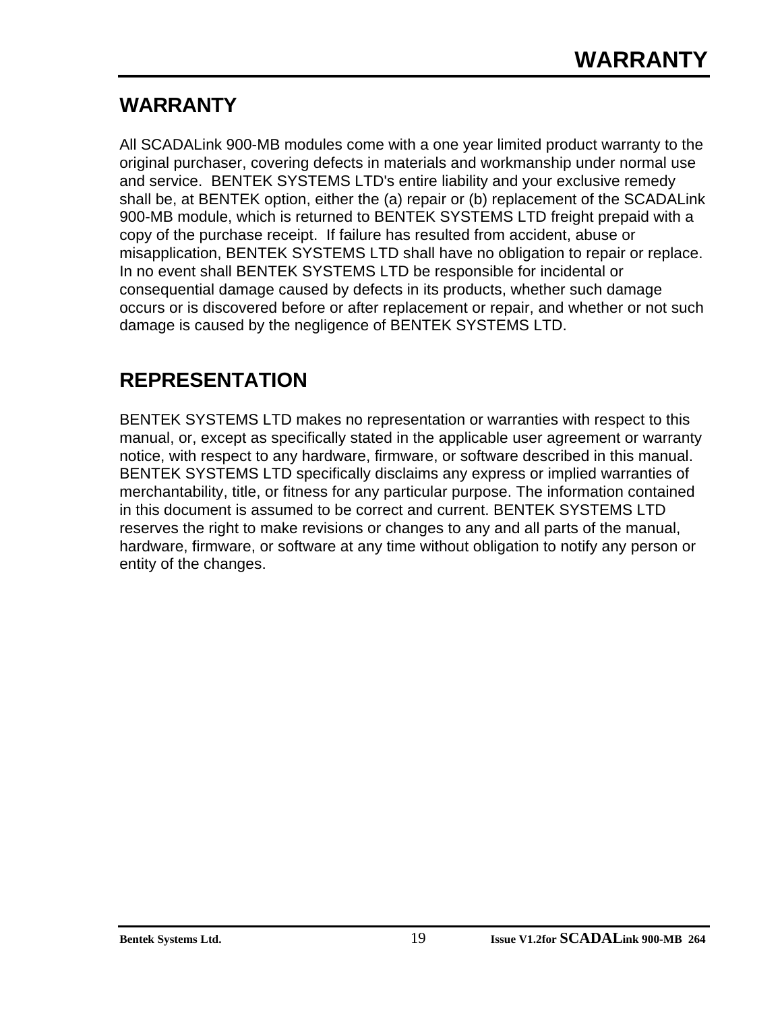# **WARRANTY**

All SCADALink 900-MB modules come with a one year limited product warranty to the original purchaser, covering defects in materials and workmanship under normal use and service. BENTEK SYSTEMS LTD's entire liability and your exclusive remedy shall be, at BENTEK option, either the (a) repair or (b) replacement of the SCADALink 900-MB module, which is returned to BENTEK SYSTEMS LTD freight prepaid with a copy of the purchase receipt. If failure has resulted from accident, abuse or misapplication, BENTEK SYSTEMS LTD shall have no obligation to repair or replace. In no event shall BENTEK SYSTEMS LTD be responsible for incidental or consequential damage caused by defects in its products, whether such damage occurs or is discovered before or after replacement or repair, and whether or not such damage is caused by the negligence of BENTEK SYSTEMS LTD.

# **REPRESENTATION**

BENTEK SYSTEMS LTD makes no representation or warranties with respect to this manual, or, except as specifically stated in the applicable user agreement or warranty notice, with respect to any hardware, firmware, or software described in this manual. BENTEK SYSTEMS LTD specifically disclaims any express or implied warranties of merchantability, title, or fitness for any particular purpose. The information contained in this document is assumed to be correct and current. BENTEK SYSTEMS LTD reserves the right to make revisions or changes to any and all parts of the manual, hardware, firmware, or software at any time without obligation to notify any person or entity of the changes.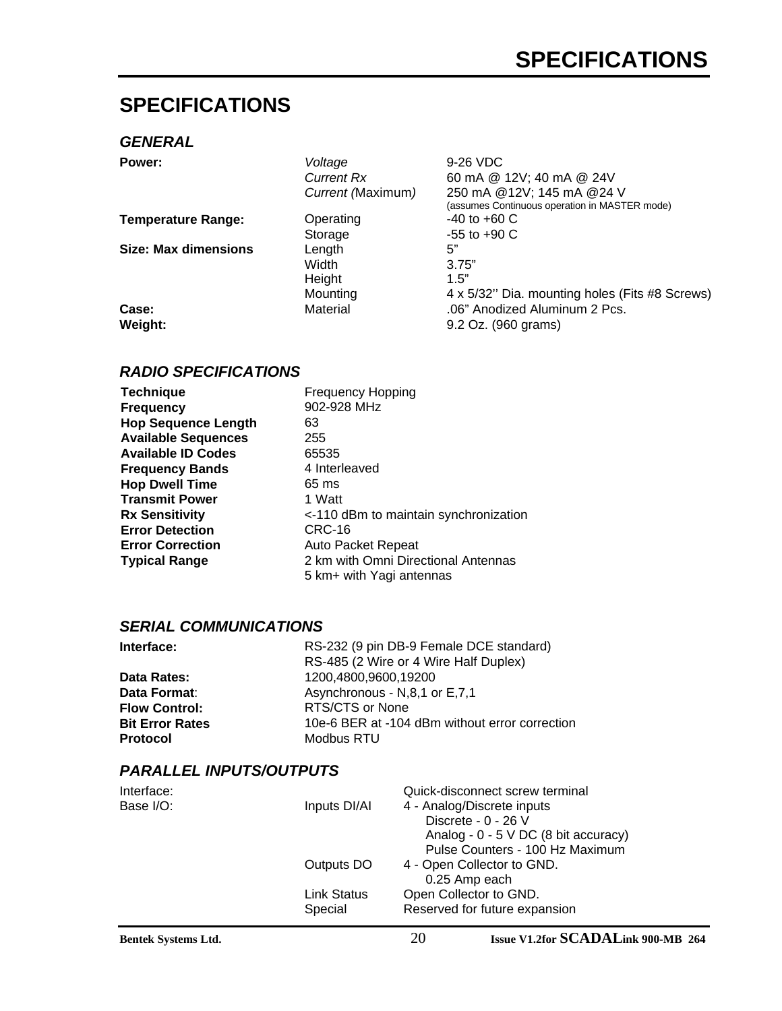# **SPECIFICATIONS**

#### *GENERAL*

| Power:                      | Voltage           | 9-26 VDC                                       |
|-----------------------------|-------------------|------------------------------------------------|
|                             | <b>Current Rx</b> | 60 mA @ 12V; 40 mA @ 24V                       |
|                             | Current (Maximum) | 250 mA @12V; 145 mA @24 V                      |
|                             |                   | (assumes Continuous operation in MASTER mode)  |
| <b>Temperature Range:</b>   | Operating         | $-40$ to $+60$ C                               |
|                             | Storage           | $-55$ to $+90$ C                               |
| <b>Size: Max dimensions</b> | Length            | 5"                                             |
|                             | Width             | 3.75"                                          |
|                             | Height            | 1.5"                                           |
|                             | Mounting          | 4 x 5/32" Dia. mounting holes (Fits #8 Screws) |
| Case:                       | Material          | .06" Anodized Aluminum 2 Pcs.                  |
| Weight:                     |                   | 9.2 Oz. (960 grams)                            |
|                             |                   |                                                |

#### *RADIO SPECIFICATIONS*

| <b>Frequency Hopping</b>              |
|---------------------------------------|
| 902-928 MHz                           |
| 63                                    |
| 255                                   |
| 65535                                 |
| 4 Interleaved                         |
| 65 ms                                 |
| 1 Watt                                |
| <-110 dBm to maintain synchronization |
| CRC-16                                |
| Auto Packet Repeat                    |
| 2 km with Omni Directional Antennas   |
| 5 km+ with Yagi antennas              |
|                                       |

### *SERIAL COMMUNICATIONS*

| Interface:             | RS-232 (9 pin DB-9 Female DCE standard)        |  |
|------------------------|------------------------------------------------|--|
|                        | RS-485 (2 Wire or 4 Wire Half Duplex)          |  |
| Data Rates:            | 1200,4800,9600,19200                           |  |
| Data Format:           | Asynchronous - N,8,1 or E,7,1                  |  |
| <b>Flow Control:</b>   | RTS/CTS or None                                |  |
| <b>Bit Error Rates</b> | 10e-6 BER at -104 dBm without error correction |  |
| <b>Protocol</b>        | Modbus RTU                                     |  |

### *PARALLEL INPUTS/OUTPUTS*

| Interface: |                    | Quick-disconnect screw terminal        |
|------------|--------------------|----------------------------------------|
| Base I/O:  | Inputs DI/AI       | 4 - Analog/Discrete inputs             |
|            |                    | Discrete - 0 - 26 V                    |
|            |                    | Analog - $0 - 5$ V DC (8 bit accuracy) |
|            |                    | Pulse Counters - 100 Hz Maximum        |
|            | Outputs DO         | 4 - Open Collector to GND.             |
|            |                    | 0.25 Amp each                          |
|            | <b>Link Status</b> | Open Collector to GND.                 |
|            | Special            | Reserved for future expansion          |
|            |                    |                                        |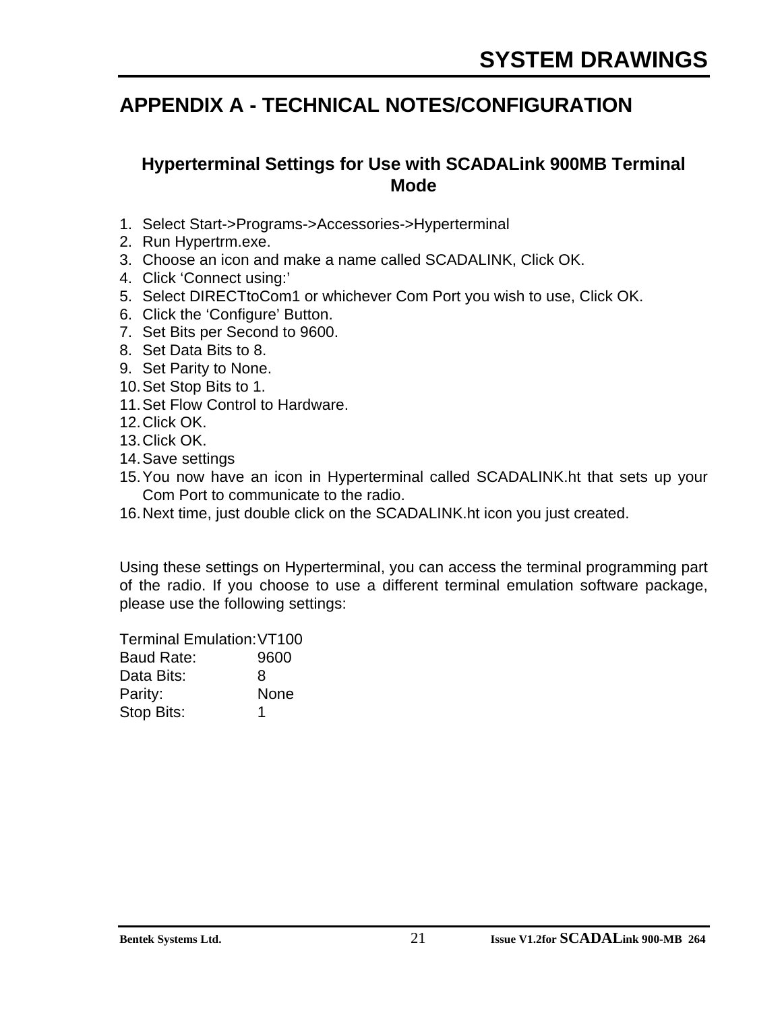# **APPENDIX A - TECHNICAL NOTES/CONFIGURATION**

# **Hyperterminal Settings for Use with SCADALink 900MB Terminal Mode**

- 1. Select Start->Programs->Accessories->Hyperterminal
- 2. Run Hypertrm.exe.
- 3. Choose an icon and make a name called SCADALINK, Click OK.
- 4. Click 'Connect using:'
- 5. Select DIRECTtoCom1 or whichever Com Port you wish to use, Click OK.
- 6. Click the 'Configure' Button.
- 7. Set Bits per Second to 9600.
- 8. Set Data Bits to 8.
- 9. Set Parity to None.
- 10.Set Stop Bits to 1.
- 11.Set Flow Control to Hardware.
- 12.Click OK.
- 13.Click OK.
- 14.Save settings
- 15.You now have an icon in Hyperterminal called SCADALINK.ht that sets up your Com Port to communicate to the radio.
- 16.Next time, just double click on the SCADALINK.ht icon you just created.

Using these settings on Hyperterminal, you can access the terminal programming part of the radio. If you choose to use a different terminal emulation software package, please use the following settings:

Terminal Emulation:VT100 Baud Rate: 9600 Data Bits: 8 Parity: None Stop Bits: 1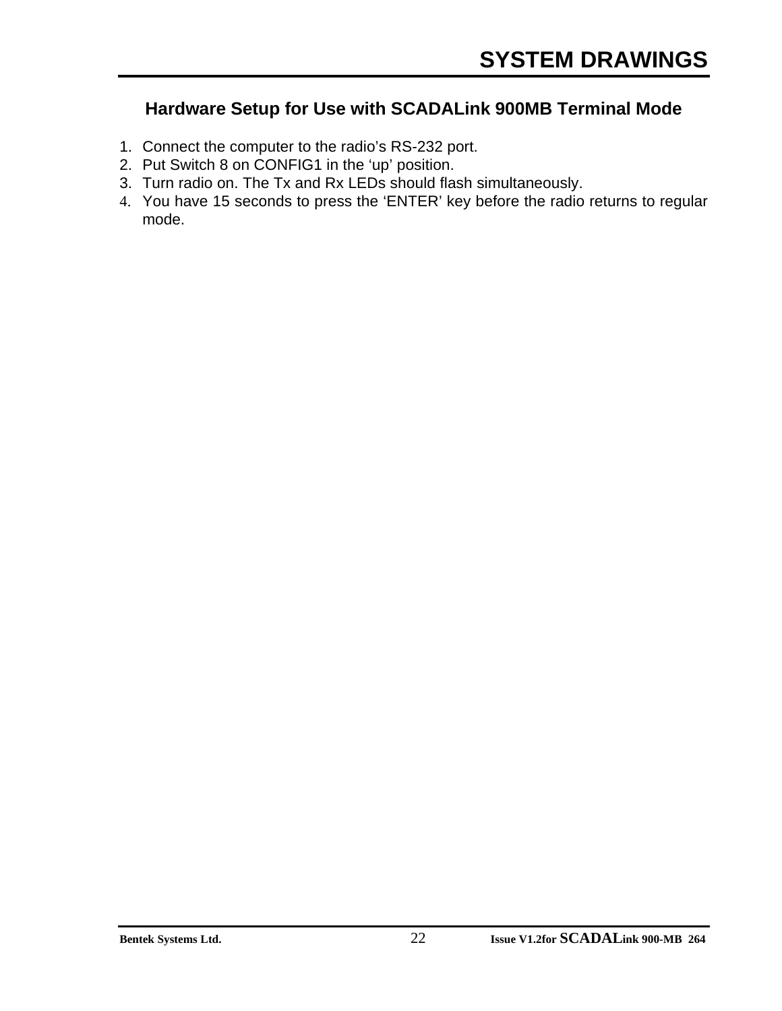# **Hardware Setup for Use with SCADALink 900MB Terminal Mode**

- 1. Connect the computer to the radio's RS-232 port.
- 2. Put Switch 8 on CONFIG1 in the 'up' position.
- 3. Turn radio on. The Tx and Rx LEDs should flash simultaneously.
- 4. You have 15 seconds to press the 'ENTER' key before the radio returns to regular mode.